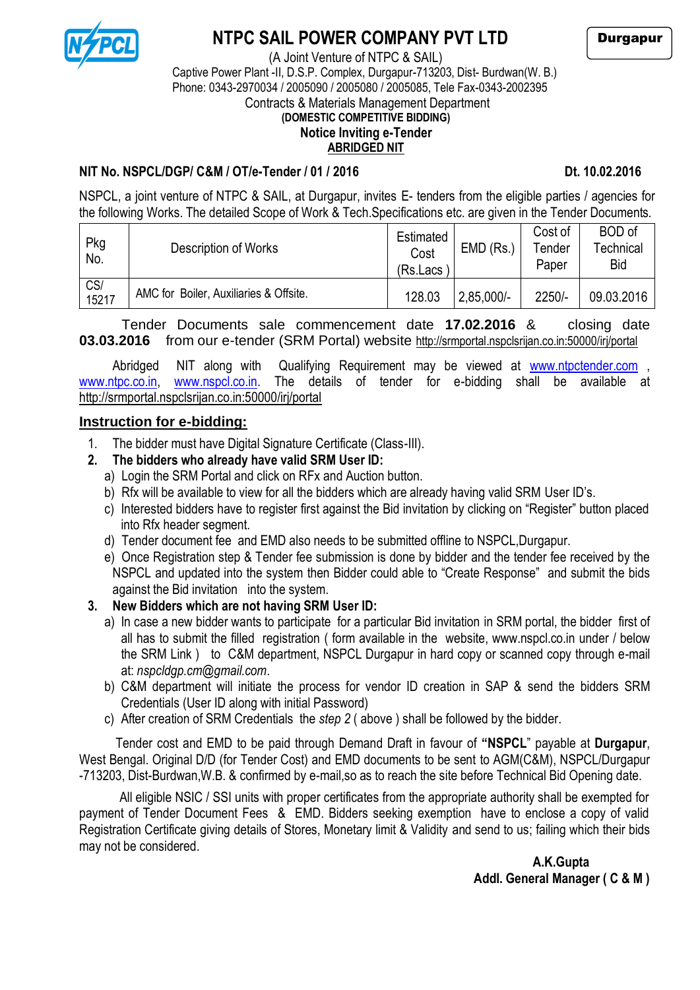

## **NTPC SAIL POWER COMPANY PVT LTD**

Durgapur

#### (A Joint Venture of NTPC & SAIL) Captive Power Plant -II, D.S.P. Complex, Durgapur-713203, Dist- Burdwan(W. B.) Phone: 0343-2970034 / 2005090 / 2005080 / 2005085, Tele Fax-0343-2002395 Contracts & Materials Management Department

### **(DOMESTIC COMPETITIVE BIDDING)**

# **Notice Inviting e-Tender**

#### **ABRIDGED NIT**

#### **NIT No. NSPCL/DGP/ C&M / OT/e-Tender / 01 / 2016 Dt. 10.02.2016**

NSPCL, a joint venture of NTPC & SAIL, at Durgapur, invites E- tenders from the eligible parties / agencies for the following Works. The detailed Scope of Work & Tech.Specifications etc. are given in the Tender Documents.

| Pkg<br>No.   | Description of Works                   | Estimated<br>Cost<br>(Rs.Lacs) | EMD (Rs.     | Cost of<br>Tender<br>Paper | <b>BOD</b> of<br><sup>r</sup> echnical<br><b>Bid</b> |
|--------------|----------------------------------------|--------------------------------|--------------|----------------------------|------------------------------------------------------|
| CS/<br>15217 | AMC for Boiler, Auxiliaries & Offsite. | 128.03                         | $2,85,000/-$ | $2250/-$                   | 09.03.2016                                           |

Tender Documents sale commencement date **17.02.2016** & closing date **03.03.2016** from our e-tender (SRM Portal) website http://srmportal.nspclsrijan.co.in:50000/irj/portal

Abridged NIT along with Qualifying Requirement may be viewed at [www.ntpctender.com](http://www.ntpctender.com/) , [www.ntpc.co.in,](http://www.ntpc.co.in/) [www.nspcl.co.in.](http://www.nspcl.co.in/) The details of tender for e-bidding shall be available at http://srmportal.nspclsrijan.co.in:50000/irj/portal

#### **Instruction for e-bidding:**

1. The bidder must have Digital Signature Certificate (Class-III).

### **2. The bidders who already have valid SRM User ID:**

- a) Login the SRM Portal and click on RFx and Auction button.
- b) Rfx will be available to view for all the bidders which are already having valid SRM User ID's.
- c) Interested bidders have to register first against the Bid invitation by clicking on "Register" button placed into Rfx header segment.
- d) Tender document fee and EMD also needs to be submitted offline to NSPCL,Durgapur.
- e) Once Registration step & Tender fee submission is done by bidder and the tender fee received by the NSPCL and updated into the system then Bidder could able to "Create Response" and submit the bids against the Bid invitation into the system.

### **3. New Bidders which are not having SRM User ID:**

- a) In case a new bidder wants to participate for a particular Bid invitation in SRM portal, the bidder first of all has to submit the filled registration ( form available in the website, www.nspcl.co.in under / below the SRM Link ) to C&M department, NSPCL Durgapur in hard copy or scanned copy through e-mail at: *nspcldgp.cm@gmail.com*.
- b) C&M department will initiate the process for vendor ID creation in SAP & send the bidders SRM Credentials (User ID along with initial Password)
- c) After creation of SRM Credentials the *step 2* ( above ) shall be followed by the bidder.

Tender cost and EMD to be paid through Demand Draft in favour of **"NSPCL**" payable at **Durgapur**, West Bengal. Original D/D (for Tender Cost) and EMD documents to be sent to AGM(C&M), NSPCL/Durgapur -713203, Dist-Burdwan,W.B. & confirmed by e-mail,so as to reach the site before Technical Bid Opening date.

 All eligible NSIC / SSI units with proper certificates from the appropriate authority shall be exempted for payment of Tender Document Fees & EMD. Bidders seeking exemption have to enclose a copy of valid Registration Certificate giving details of Stores, Monetary limit & Validity and send to us; failing which their bids may not be considered.

 **A.K.Gupta Addl. General Manager ( C & M )**